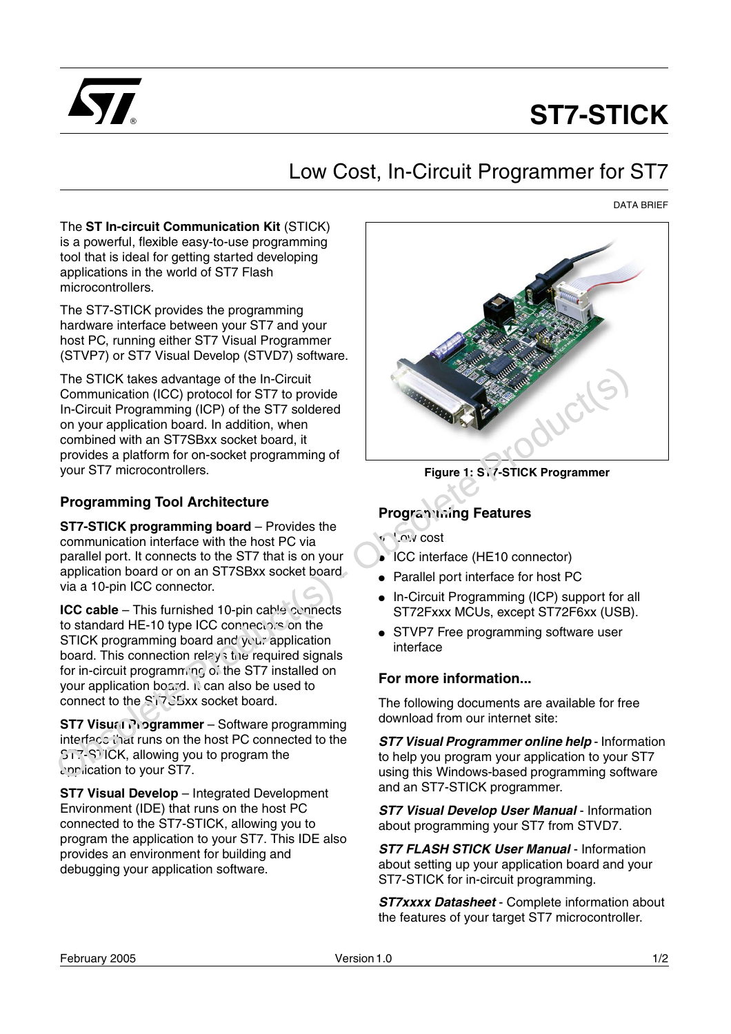

# **ST7-STICK**

## Low Cost, In-Circuit Programmer for ST7

DATA BRIEF

The **ST In-circuit Communication Kit** (STICK) is a powerful, flexible easy-to-use programming tool that is ideal for getting started developing applications in the world of ST7 Flash microcontrollers.

The ST7-STICK provides the programming hardware interface between your ST7 and your host PC, running either ST7 Visual Programmer (STVP7) or ST7 Visual Develop (STVD7) software.

The STICK takes advantage of the In-Circuit Communication (ICC) protocol for ST7 to provide In-Circuit Programming (ICP) of the ST7 soldered on your application board. In addition, when combined with an ST7SBxx socket board, it provides a platform for on-socket programming of your ST7 microcontrollers. The STICK takes advantage of the In-Circuit<br>
In-Circuit Programming (ICC) of the ST7 soleted<br>
on your application board. In addition, when<br>
growthes a platform for on-socket borg amming of<br>
provides a platform for on-socke

#### **Programming Tool Architecture**

**ST7-STICK programming board** – Provides the communication interface with the host PC via parallel port. It connects to the ST7 that is on your application board or on an ST7SBxx socket board, via a 10-pin ICC connector.

**ICC cable** – This furnished 10-pin cable connects to standard HE-10 type ICC connectors on the STICK programming board and your application board. This connection relays the required signals for in-circuit programming of the ST7 installed on your application board. It can also be used to connect to the ST7SBxx socket board.

**ST7 Visual Programmer** – Software programming interface that runs on the host PC connected to the ST7-STICK, allowing you to program the application to your ST7.

**ST7 Visual Develop** – Integrated Development Environment (IDE) that runs on the host PC connected to the ST7-STICK, allowing you to program the application to your ST7. This IDE also provides an environment for building and debugging your application software.



### **Programming Features**

- Low cost
- ICC interface (HE10 connector)
- Parallel port interface for host PC
- In-Circuit Programming (ICP) support for all ST72Fxxx MCUs, except ST72F6xx (USB).
- STVP7 Free programming software user interface

#### **For more information...**

The following documents are available for free download from our internet site:

**ST7 Visual Programmer online help** - Information to help you program your application to your ST7 using this Windows-based programming software and an ST7-STICK programmer.

**ST7 Visual Develop User Manual** - Information about programming your ST7 from STVD7.

**ST7 FLASH STICK User Manual - Information** about setting up your application board and your ST7-STICK for in-circuit programming.

**ST7xxxx Datasheet** - Complete information about the features of your target ST7 microcontroller.